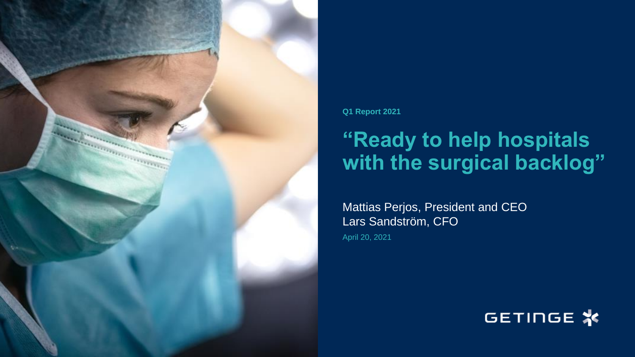

**Q1 Report 2021**

# **"Ready to help hospitals with the surgical backlog"**

Mattias Perjos, President and CEO Lars Sandström, CFO

April 20, 2021

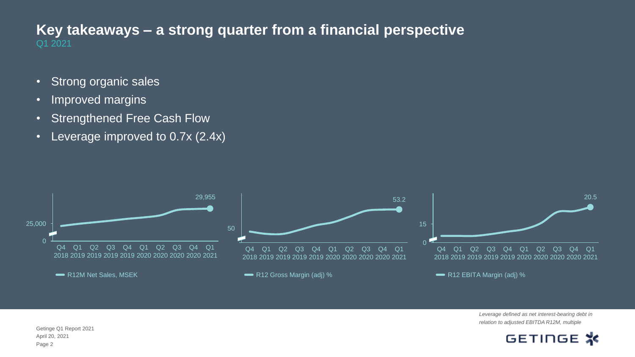#### Q1 2021 **Key takeaways – a strong quarter from a financial perspective**

- Strong organic sales
- Improved margins
- Strengthened Free Cash Flow
- Leverage improved to 0.7x (2.4x)



*Leverage defined as net interest-bearing debt in relation to adjusted EBITDA R12M, multiple*

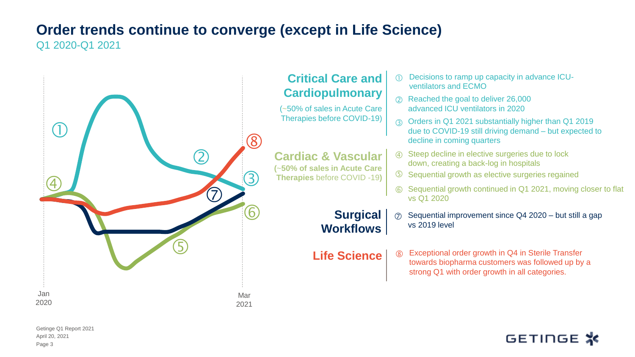#### **Order trends continue to converge (except in Life Science)**  Q1 2020-Q1 2021

**Critical Care and Cardiopulmonary** (~50% of sales in Acute Care Therapies before COVID-19) Decisions to ramp up capacity in advance ICU ventilators and ECMO Reached the goal to deliver 26,000 advanced ICU ventilators in 2020 **Cardiac & Vascular (**~**50% of sales in Acute Care Therapies** before COVID -19**)** Steep decline in elective surgeries due to lock down, creating a back-log in hospitals  $\circled{4}$ **Surgical Workflows** Sequential growth as elective surgeries regained Orders in Q1 2021 substantially higher than Q1 2019 due to COVID-19 still driving demand – but expected to decline in coming quarters  $\oslash$  Sequential improvement since Q4 2020 – but still a gap vs 2019 level **Life Science**  $\begin{bmatrix} \circledR 1 \end{bmatrix}$  Exceptional order growth in Q4 in Sterile Transfer towards biopharma customers was followed up by a strong Q1 with order growth in all categories.  $^{\circledR}$  $\left( \, \right)$  $\bigcirc$ 4 3 5  $\mathbf{8}$ 6 Sequential growth continued in Q1 2021, moving closer to flat vs Q1 2020  $\sigma$  , and the set of  $\sigma$ Jan 2020 Mar 2021

April 20, 2021 Getinge Q1 Report 2021 Page 3

# GETINGE **※**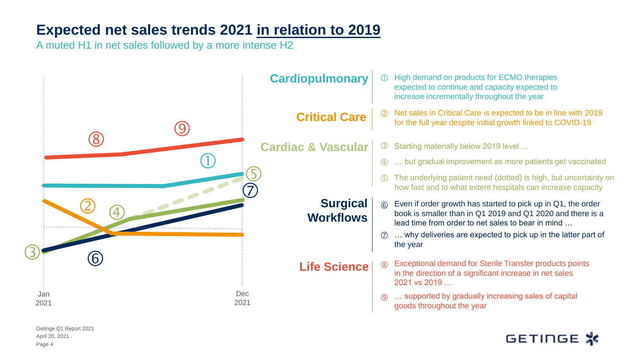#### **Expected net sales trends 2021 in relation to 2019**

A muted H1 in net sales followed by a more intense H2



April 20, 2021 Getinge Q1 Report 2021 Page 4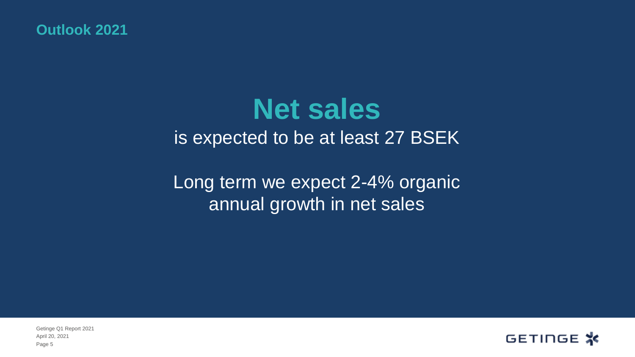**Outlook 2021**

# **Net sales**  is expected to be at least 27 BSEK

Long term we expect 2-4% organic annual growth in net sales

GETINGE \*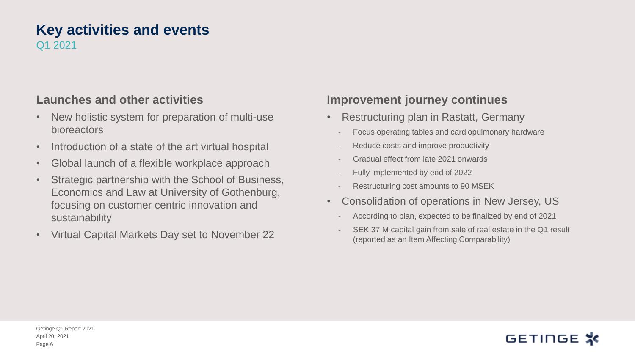#### **Key activities and events** Q1 2021

#### **Launches and other activities**

- New holistic system for preparation of multi-use bioreactors
- Introduction of a state of the art virtual hospital
- Global launch of a flexible workplace approach
- Strategic partnership with the School of Business, Economics and Law at University of Gothenburg, focusing on customer centric innovation and sustainability
- Virtual Capital Markets Day set to November 22

#### **Improvement journey continues**

- Restructuring plan in Rastatt, Germany
	- Focus operating tables and cardiopulmonary hardware
	- Reduce costs and improve productivity
	- Gradual effect from late 2021 onwards
	- Fully implemented by end of 2022
	- Restructuring cost amounts to 90 MSEK
- Consolidation of operations in New Jersey, US
	- According to plan, expected to be finalized by end of 2021
	- SEK 37 M capital gain from sale of real estate in the Q1 result (reported as an Item Affecting Comparability)

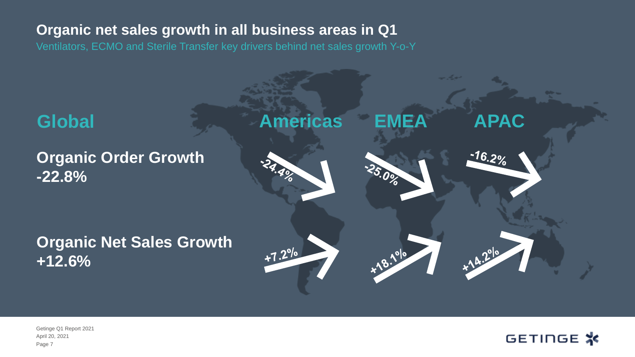#### **Organic net sales growth in all business areas in Q1**

Ventilators, ECMO and Sterile Transfer key drivers behind net sales growth Y-o-Y



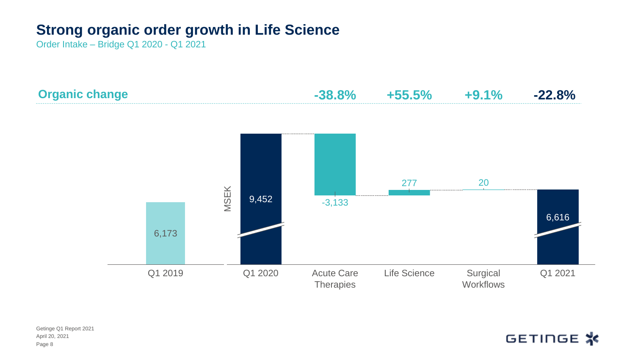#### **Strong organic order growth in Life Science**

Order Intake – Bridge Q1 2020 - Q1 2021



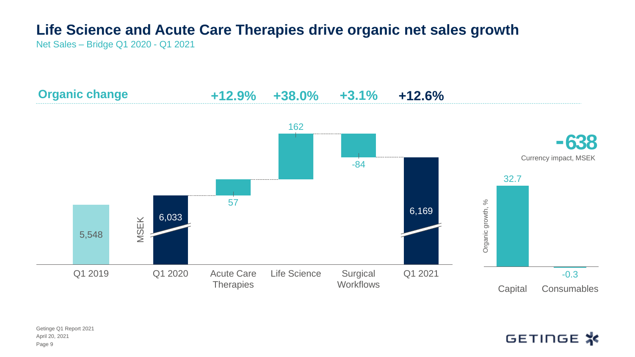# **Life Science and Acute Care Therapies drive organic net sales growth**

Net Sales – Bridge Q1 2020 - Q1 2021



April 20, 2021 Getinge Q1 Report 2021 Page 9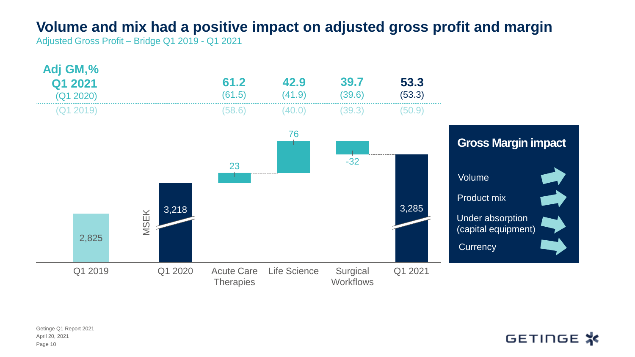#### **Volume and mix had a positive impact on adjusted gross profit and margin**

Adjusted Gross Profit – Bridge Q1 2019 - Q1 2021

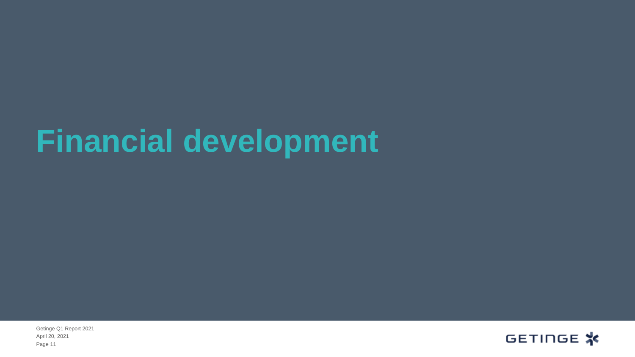# **Financial development**

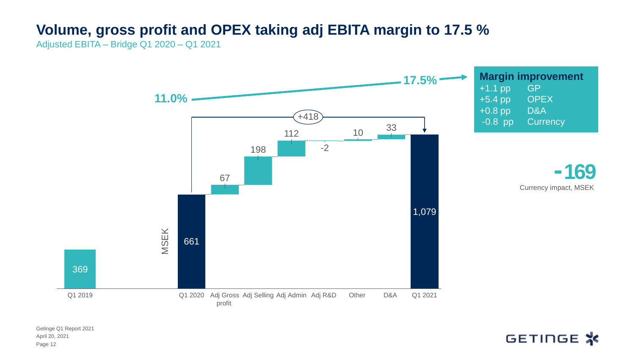### **Volume, gross profit and OPEX taking adj EBITA margin to 17.5 %**

Adjusted EBITA – Bridge Q1 2020 – Q1 2021

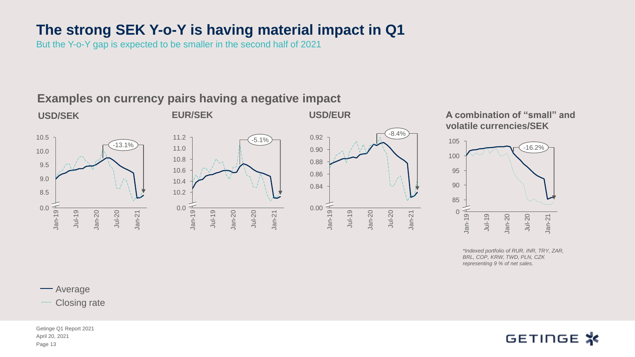#### **The strong SEK Y-o-Y is having material impact in Q1**

But the Y-o-Y gap is expected to be smaller in the second half of 2021

**Examples on currency pairs having a negative impact** 



**A combination of "small" and volatile currencies/SEK**



*\*Indexed portfolio of RUR, INR, TRY, ZAR, BRL, COP, KRW, TWD, PLN, CZK representing 9 % of net sales.* 

**-**Average

Closing rate

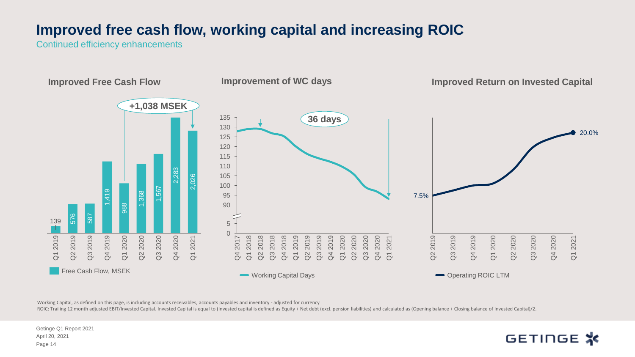#### **Improved free cash flow, working capital and increasing ROIC**

Continued efficiency enhancements



Working Capital, as defined on this page, is including accounts receivables, accounts payables and inventory - adjusted for currency

ROIC: Trailing 12 month adjusted EBIT/Invested Capital. Invested Capital is equal to (Invested capital is defined as Equity + Net debt (excl. pension liabilities) and calculated as (Opening balance + Closing balance of Inv

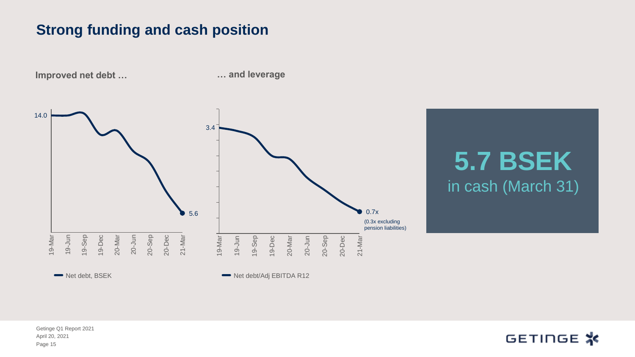#### **Strong funding and cash position**

14.0 19-Dec 19-Jun 19-Mar 20-Mar 19-Sep 20-Dec 20-Jun 20-Sep 21-Mar 5.6 Net debt, BSEK **Improved net debt …**  19-Jun 3.4 19-Mar 20-Sep 19-Sep 21-Mar 19-Dec 20-Mar 20-Jun 0.7x 20-Dec Net debt/Adj EBITDA R12 (0.3x excluding pension liabilities)

**… and leverage**

**5.7 BSEK**  in cash (March 31)

April 20, 2021 Getinge Q1 Report 2021 Page 15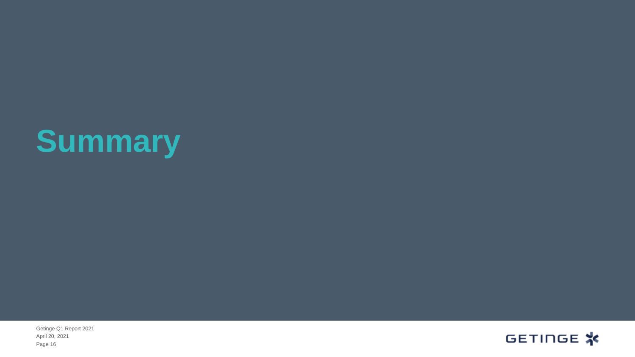# **Summary**

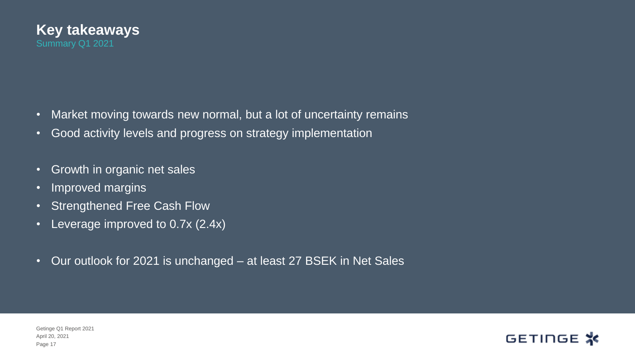

- Market moving towards new normal, but a lot of uncertainty remains
- Good activity levels and progress on strategy implementation
- Growth in organic net sales
- Improved margins
- Strengthened Free Cash Flow
- Leverage improved to 0.7x (2.4x)
- Our outlook for 2021 is unchanged at least 27 BSEK in Net Sales

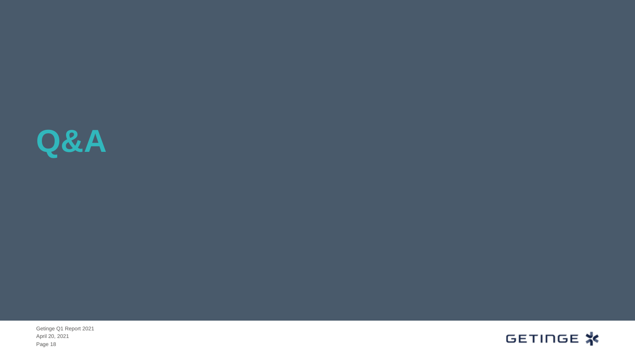

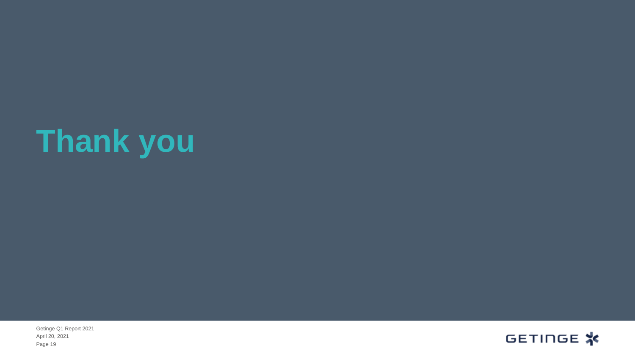# **Thank you**

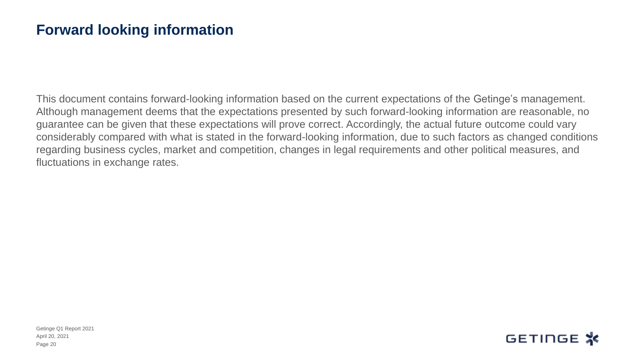#### **Forward looking information**

This document contains forward-looking information based on the current expectations of the Getinge's management. Although management deems that the expectations presented by such forward-looking information are reasonable, no guarantee can be given that these expectations will prove correct. Accordingly, the actual future outcome could vary considerably compared with what is stated in the forward-looking information, due to such factors as changed conditions regarding business cycles, market and competition, changes in legal requirements and other political measures, and fluctuations in exchange rates.